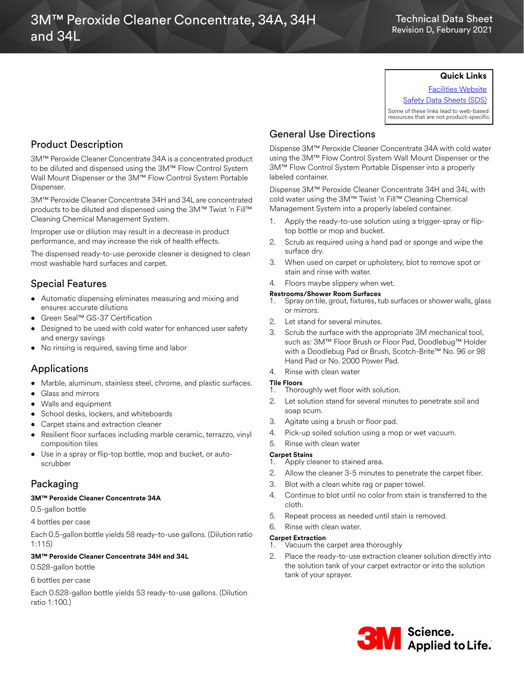# 3M™ Peroxide Cleaner Concentrate, 34A, 34H and 34L

### Technical Data Sheet Revision D, February 2021

### **Quick Links**

[Facilities Website](www.mmm.com/facilities) [Safety Data Sheets \(SDS\)](https://www.3m.com/3M/en_US/commercial-cleaning-us/resources/sds-finder/)

Some of these links lead to web-based resources that are not product-specific.

# Product Description

3M™ Peroxide Cleaner Concentrate 34A is a concentrated product to be diluted and dispensed using the 3M™ Flow Control System Wall Mount Dispenser or the 3M™ Flow Control System Portable Dispenser.

3M™ Peroxide Cleaner Concentrate 34H and 34L are concentrated products to be diluted and dispensed using the 3M™ Twist 'n Fill™ Cleaning Chemical Management System.

Improper use or dilution may result in a decrease in product performance, and may increase the risk of health effects.

The dispensed ready-to-use peroxide cleaner is designed to clean most washable hard surfaces and carpet.

## Special Features

- Automatic dispensing eliminates measuring and mixing and ensures accurate dilutions
- Green Seal™ GS-37 Certification
- Designed to be used with cold water for enhanced user safety and energy savings
- No rinsing is required, saving time and labor

## Applications

- Marble, aluminum, stainless steel, chrome, and plastic surfaces.
- Glass and mirrors
- Walls and equipment
- School desks, lockers, and whiteboards
- Carpet stains and extraction cleaner
- Resilient floor surfaces including marble ceramic, terrazzo, vinyl composition tiles
- Use in a spray or flip-top bottle, mop and bucket, or autoscrubber

# Packaging

#### **3M™ Peroxide Cleaner Concentrate 34A**

0.5-gallon bottle

4 bottles per case

Each 0.5-gallon bottle yields 58 ready-to-use gallons. (Dilution ratio 1:115)

#### **3M™ Peroxide Cleaner Concentrate 34H and 34L**

0.528-gallon bottle

#### 6 bottles per case

Each 0.528-gallon bottle yields 53 ready-to-use gallons. (Dilution ratio 1:100.)

## General Use Directions

Dispense 3M™ Peroxide Cleaner Concentrate 34A with cold water using the 3M™ Flow Control System Wall Mount Dispenser or the 3M™ Flow Control System Portable Dispenser into a properly labeled container.

Dispense 3M™ Peroxide Cleaner Concentrate 34H and 34L with cold water using the 3M™ Twist 'n Fill™ Cleaning Chemical Management System into a properly labeled container.

- 1. Apply the ready-to-use solution using a trigger-spray or fliptop bottle or mop and bucket.
- 2. Scrub as required using a hand pad or sponge and wipe the surface dry.
- 3. When used on carpet or upholstery, blot to remove spot or stain and rinse with water.
- 4. Floors maybe slippery when wet.

#### **Restrooms/Shower Room Surfaces**

- 1. Spray on tile, grout, fixtures, tub surfaces or shower walls, glass or mirrors.
- 2. Let stand for several minutes.
- 3. Scrub the surface with the appropriate 3M mechanical tool, such as: 3M™ Floor Brush or Floor Pad, Doodlebug™ Holder with a Doodlebug Pad or Brush, Scotch-Brite™ No. 96 or 98 Hand Pad or No. 2000 Power Pad.
- 4. Rinse with clean water

### **Tile Floors**

- 1. Thoroughly wet floor with solution.
- 2. Let solution stand for several minutes to penetrate soil and soap scum.
- 3. Agitate using a brush or floor pad.
- 4. Pick-up soiled solution using a mop or wet vacuum.
- 5. Rinse with clean water

### **Carpet Stains**

- 1. Apply cleaner to stained area.
- 2. Allow the cleaner 3-5 minutes to penetrate the carpet fiber.
- 3. Blot with a clean white rag or paper towel.
- 4. Continue to blot until no color from stain is transferred to the cloth.
- 5. Repeat process as needed until stain is removed.
- 6. Rinse with clean water.

#### **Carpet Extraction**

- 1. Vacuum the carpet area thoroughly
- 2. Place the ready-to-use extraction cleaner solution directly into the solution tank of your carpet extractor or into the solution tank of your sprayer.

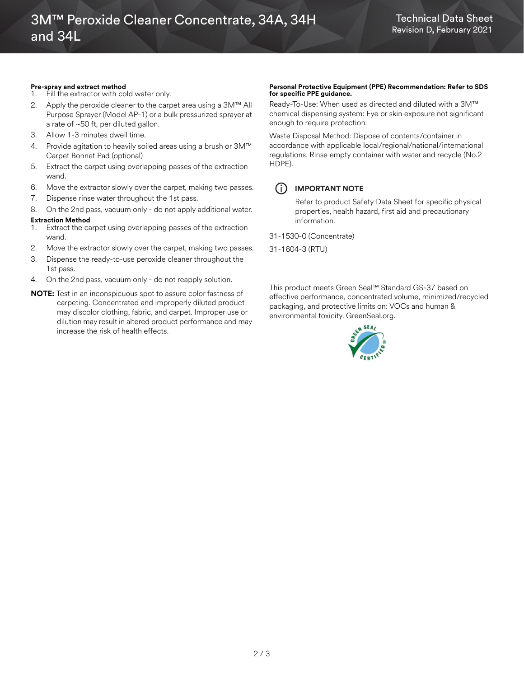#### **Pre-spray and extract method**

- 1. Fill the extractor with cold water only. 2. Apply the peroxide cleaner to the carpet area using a 3M™ All Purpose Sprayer (Model AP-1) or a bulk pressurized sprayer at a rate of ~50 ft, per diluted gallon.
- 3. Allow 1-3 minutes dwell time.
- 4. Provide agitation to heavily soiled areas using a brush or 3M™ Carpet Bonnet Pad (optional)
- 5. Extract the carpet using overlapping passes of the extraction wand.
- 6. Move the extractor slowly over the carpet, making two passes.
- 7. Dispense rinse water throughout the 1st pass.
- 8. On the 2nd pass, vacuum only do not apply additional water. **Extraction Method**
- Extract the carpet using overlapping passes of the extraction wand.
- 2. Move the extractor slowly over the carpet, making two passes.
- 3. Dispense the ready-to-use peroxide cleaner throughout the 1st pass.
- 4. On the 2nd pass, vacuum only do not reapply solution.
- **NOTE:** Test in an inconspicuous spot to assure color fastness of carpeting. Concentrated and improperly diluted product may discolor clothing, fabric, and carpet. Improper use or dilution may result in altered product performance and may increase the risk of health effects.

# **Personal Protective Equipment (PPE) Recommendation: Refer to SDS for specific PPE guidance.**

Ready-To-Use: When used as directed and diluted with a 3M™ chemical dispensing system: Eye or skin exposure not significant enough to require protection.

Waste Disposal Method: Dispose of contents/container in accordance with applicable local/regional/national/international regulations. Rinse empty container with water and recycle (No.2 HDPE).

## $(i)$  **IMPORTANT NOTE**

Refer to product Safety Data Sheet for specific physical properties, health hazard, first aid and precautionary information.

31-1530-0 (Concentrate)

31-1604-3 (RTU)

This product meets Green Seal™ Standard GS-37 based on effective performance, concentrated volume, minimized/recycled packaging, and protective limits on: VOCs and human & environmental toxicity. GreenSeal.org.